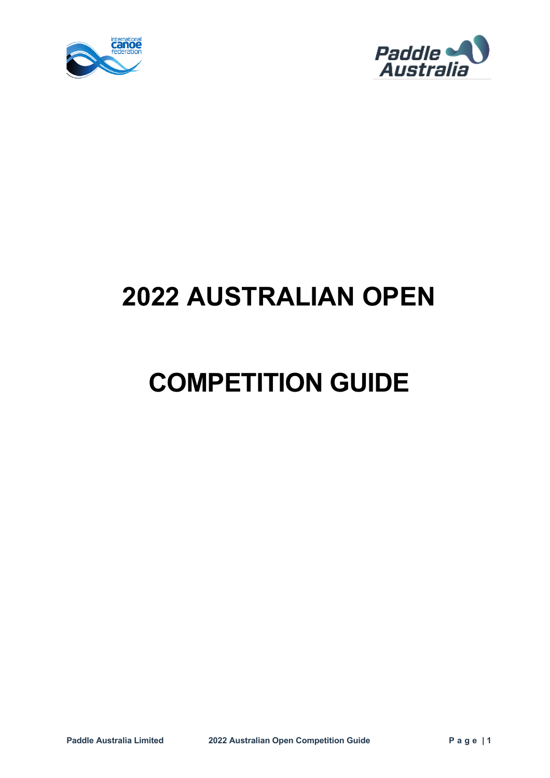



# **2022 AUSTRALIAN OPEN**

# **COMPETITION GUIDE**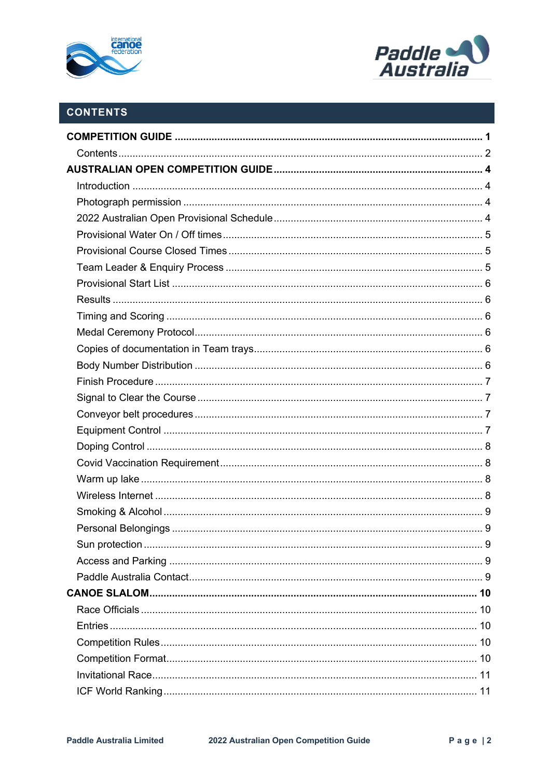



# **CONTENTS**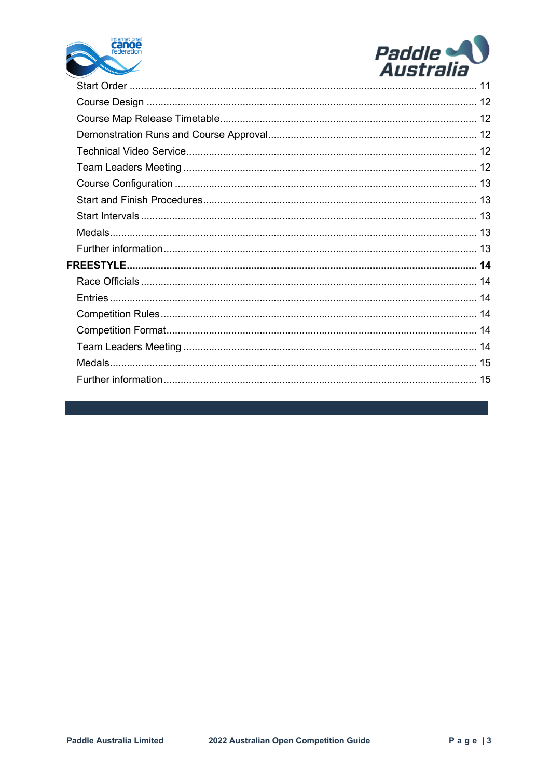

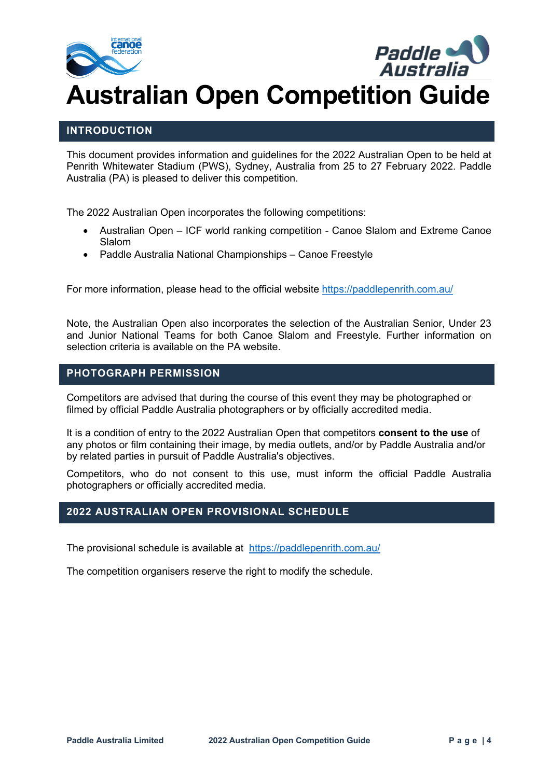

# **INTRODUCTION**

This document provides information and guidelines for the 2022 Australian Open to be held at Penrith Whitewater Stadium (PWS), Sydney, Australia from 25 to 27 February 2022. Paddle Australia (PA) is pleased to deliver this competition.

The 2022 Australian Open incorporates the following competitions:

- Australian Open ICF world ranking competition Canoe Slalom and Extreme Canoe Slalom
- Paddle Australia National Championships Canoe Freestyle

For more information, please head to the official website https://paddlepenrith.com.au/

Note, the Australian Open also incorporates the selection of the Australian Senior, Under 23 and Junior National Teams for both Canoe Slalom and Freestyle. Further information on selection criteria is available on the PA website.

## **PHOTOGRAPH PERMISSION**

Competitors are advised that during the course of this event they may be photographed or filmed by official Paddle Australia photographers or by officially accredited media.

It is a condition of entry to the 2022 Australian Open that competitors **consent to the use** of any photos or film containing their image, by media outlets, and/or by Paddle Australia and/or by related parties in pursuit of Paddle Australia's objectives.

Competitors, who do not consent to this use, must inform the official Paddle Australia photographers or officially accredited media.

# **2022 AUSTRALIAN OPEN PROVISIONAL SCHEDULE**

The provisional schedule is available at https://paddlepenrith.com.au/

The competition organisers reserve the right to modify the schedule.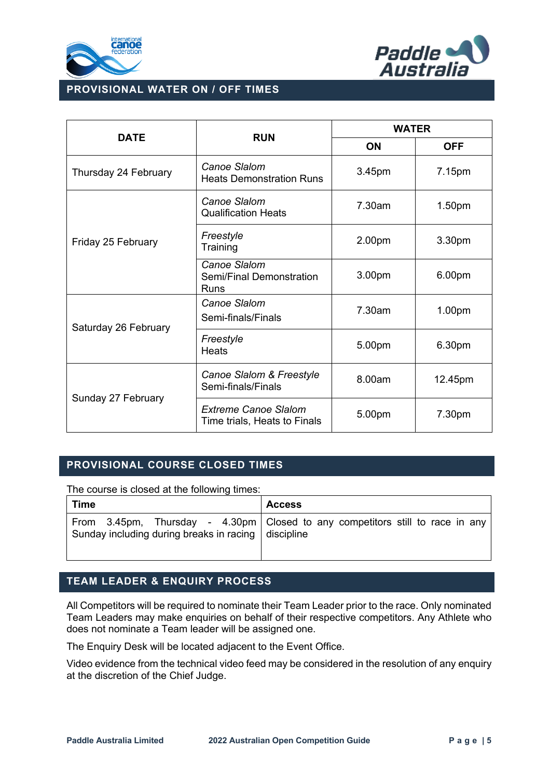



# **PROVISIONAL WATER ON / OFF TIMES**

| <b>DATE</b>          | <b>RUN</b>                                                  | <b>WATER</b> |                    |
|----------------------|-------------------------------------------------------------|--------------|--------------------|
|                      |                                                             | <b>ON</b>    | <b>OFF</b>         |
| Thursday 24 February | Canoe Slalom<br><b>Heats Demonstration Runs</b>             | 3.45pm       | 7.15pm             |
| Friday 25 February   | Canoe Slalom<br><b>Qualification Heats</b>                  | 7.30am       | 1.50 <sub>pm</sub> |
|                      | Freestyle<br>Training                                       | 2.00pm       | 3.30pm             |
|                      | Canoe Slalom<br>Semi/Final Demonstration<br>Runs            | 3.00pm       | 6.00pm             |
| Saturday 26 February | Canoe Slalom<br>Semi-finals/Finals                          | 7.30am       | 1.00 <sub>pm</sub> |
|                      | Freestyle<br><b>Heats</b>                                   | 5.00pm       | 6.30pm             |
| Sunday 27 February   | Canoe Slalom & Freestyle<br>Semi-finals/Finals              | 8.00am       | 12.45pm            |
|                      | <b>Extreme Canoe Slalom</b><br>Time trials, Heats to Finals | 5.00pm       | 7.30pm             |

# **PROVISIONAL COURSE CLOSED TIMES**

The course is closed at the following times:

| Time                                                  | <b>Access</b>                                                                   |
|-------------------------------------------------------|---------------------------------------------------------------------------------|
| Sunday including during breaks in racing   discipline | From 3.45pm, Thursday - 4.30pm   Closed to any competitors still to race in any |

# **TEAM LEADER & ENQUIRY PROCESS**

All Competitors will be required to nominate their Team Leader prior to the race. Only nominated Team Leaders may make enquiries on behalf of their respective competitors. Any Athlete who does not nominate a Team leader will be assigned one.

The Enquiry Desk will be located adjacent to the Event Office.

Video evidence from the technical video feed may be considered in the resolution of any enquiry at the discretion of the Chief Judge.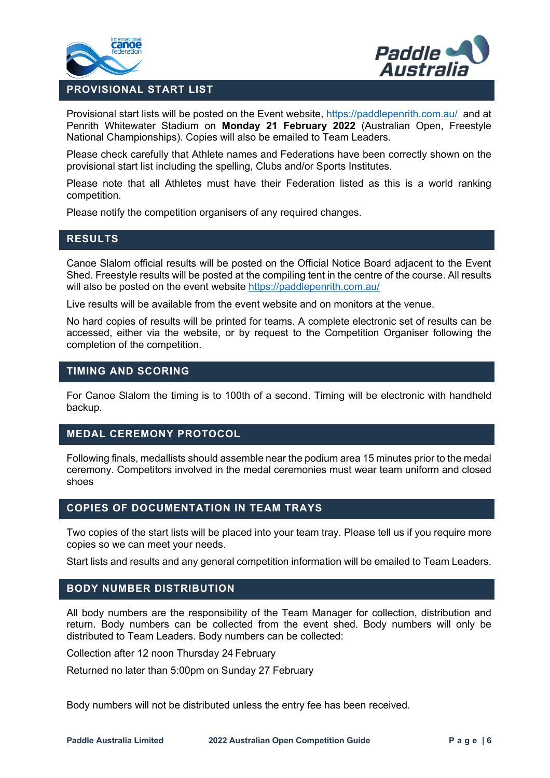

## **PROVISIONAL START LIST**



Provisional start lists will be posted on the Event website, https://paddlepenrith.com.au/ and at Penrith Whitewater Stadium on **Monday 21 February 2022** (Australian Open, Freestyle National Championships). Copies will also be emailed to Team Leaders.

Please check carefully that Athlete names and Federations have been correctly shown on the provisional start list including the spelling, Clubs and/or Sports Institutes.

Please note that all Athletes must have their Federation listed as this is a world ranking competition.

Please notify the competition organisers of any required changes.

## **RESULTS**

Canoe Slalom official results will be posted on the Official Notice Board adjacent to the Event Shed. Freestyle results will be posted at the compiling tent in the centre of the course. All results will also be posted on the event website https://paddlepenrith.com.au/

Live results will be available from the event website and on monitors at the venue.

No hard copies of results will be printed for teams. A complete electronic set of results can be accessed, either via the website, or by request to the Competition Organiser following the completion of the competition.

#### **TIMING AND SCORING**

For Canoe Slalom the timing is to 100th of a second. Timing will be electronic with handheld backup.

# **MEDAL CEREMONY PROTOCOL**

Following finals, medallists should assemble near the podium area 15 minutes prior to the medal ceremony. Competitors involved in the medal ceremonies must wear team uniform and closed shoes

## **COPIES OF DOCUMENTATION IN TEAM TRAYS**

Two copies of the start lists will be placed into your team tray. Please tell us if you require more copies so we can meet your needs.

Start lists and results and any general competition information will be emailed to Team Leaders.

#### **BODY NUMBER DISTRIBUTION**

All body numbers are the responsibility of the Team Manager for collection, distribution and return. Body numbers can be collected from the event shed. Body numbers will only be distributed to Team Leaders. Body numbers can be collected:

Collection after 12 noon Thursday 24 February

Returned no later than 5:00pm on Sunday 27 February

Body numbers will not be distributed unless the entry fee has been received.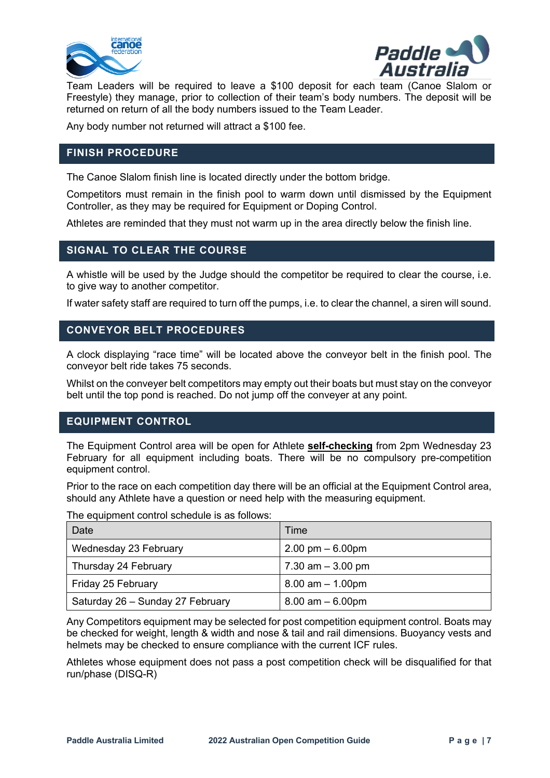



Team Leaders will be required to leave a \$100 deposit for each team (Canoe Slalom or Freestyle) they manage, prior to collection of their team's body numbers. The deposit will be returned on return of all the body numbers issued to the Team Leader.

Any body number not returned will attract a \$100 fee.

# **FINISH PROCEDURE**

The Canoe Slalom finish line is located directly under the bottom bridge.

Competitors must remain in the finish pool to warm down until dismissed by the Equipment Controller, as they may be required for Equipment or Doping Control.

Athletes are reminded that they must not warm up in the area directly below the finish line.

## **SIGNAL TO CLEAR THE COURSE**

A whistle will be used by the Judge should the competitor be required to clear the course, i.e. to give way to another competitor.

If water safety staff are required to turn off the pumps, i.e. to clear the channel, a siren will sound.

## **CONVEYOR BELT PROCEDURES**

A clock displaying "race time" will be located above the conveyor belt in the finish pool. The conveyor belt ride takes 75 seconds.

Whilst on the conveyer belt competitors may empty out their boats but must stay on the conveyor belt until the top pond is reached. Do not jump off the conveyer at any point.

# **EQUIPMENT CONTROL**

The Equipment Control area will be open for Athlete **self-checking** from 2pm Wednesday 23 February for all equipment including boats. There will be no compulsory pre-competition equipment control.

Prior to the race on each competition day there will be an official at the Equipment Control area, should any Athlete have a question or need help with the measuring equipment.

The equipment control schedule is as follows:

| Date                             | Time                               |
|----------------------------------|------------------------------------|
| Wednesday 23 February            | $2.00 \text{ pm} - 6.00 \text{pm}$ |
| Thursday 24 February             | 7.30 am $-$ 3.00 pm                |
| Friday 25 February               | $8.00$ am $-1.00$ pm               |
| Saturday 26 - Sunday 27 February | $8.00$ am $-6.00$ pm               |

Any Competitors equipment may be selected for post competition equipment control. Boats may be checked for weight, length & width and nose & tail and rail dimensions. Buoyancy vests and helmets may be checked to ensure compliance with the current ICF rules.

Athletes whose equipment does not pass a post competition check will be disqualified for that run/phase (DISQ-R)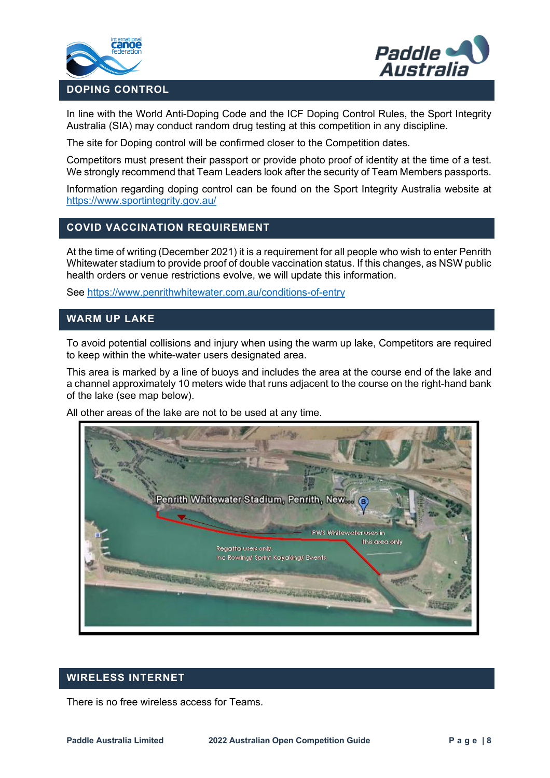



In line with the World Anti-Doping Code and the ICF Doping Control Rules, the Sport Integrity Australia (SIA) may conduct random drug testing at this competition in any discipline.

The site for Doping control will be confirmed closer to the Competition dates.

Competitors must present their passport or provide photo proof of identity at the time of a test. We strongly recommend that Team Leaders look after the security of Team Members passports.

Information regarding doping control can be found on the Sport Integrity Australia website at https://www.sportintegrity.gov.au/

# **COVID VACCINATION REQUIREMENT**

At the time of writing (December 2021) it is a requirement for all people who wish to enter Penrith Whitewater stadium to provide proof of double vaccination status. If this changes, as NSW public health orders or venue restrictions evolve, we will update this information.

See https://www.penrithwhitewater.com.au/conditions-of-entry

## **WARM UP LAKE**

To avoid potential collisions and injury when using the warm up lake, Competitors are required to keep within the white-water users designated area.

This area is marked by a line of buoys and includes the area at the course end of the lake and a channel approximately 10 meters wide that runs adjacent to the course on the right-hand bank of the lake (see map below).

All other areas of the lake are not to be used at any time.



#### **WIRELESS INTERNET**

There is no free wireless access for Teams.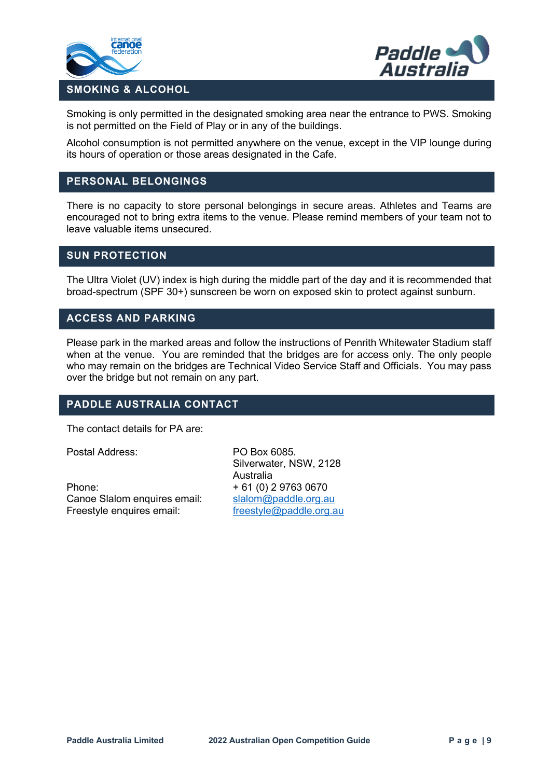



Smoking is only permitted in the designated smoking area near the entrance to PWS. Smoking is not permitted on the Field of Play or in any of the buildings.

Alcohol consumption is not permitted anywhere on the venue, except in the VIP lounge during its hours of operation or those areas designated in the Cafe.

# **PERSONAL BELONGINGS**

There is no capacity to store personal belongings in secure areas. Athletes and Teams are encouraged not to bring extra items to the venue. Please remind members of your team not to leave valuable items unsecured.

# **SUN PROTECTION**

The Ultra Violet (UV) index is high during the middle part of the day and it is recommended that broad-spectrum (SPF 30+) sunscreen be worn on exposed skin to protect against sunburn.

# **ACCESS AND PARKING**

Please park in the marked areas and follow the instructions of Penrith Whitewater Stadium staff when at the venue. You are reminded that the bridges are for access only. The only people who may remain on the bridges are Technical Video Service Staff and Officials. You may pass over the bridge but not remain on any part.

# **PADDLE AUSTRALIA CONTACT**

The contact details for PA are:

Postal Address: PO Box 6085.

Phone: + 61 (0) 2 9763 0670 Canoe Slalom enquires email: slalom@paddle.org.au Freestyle enquires email: freestyle@paddle.org.au

Silverwater, NSW, 2128 Australia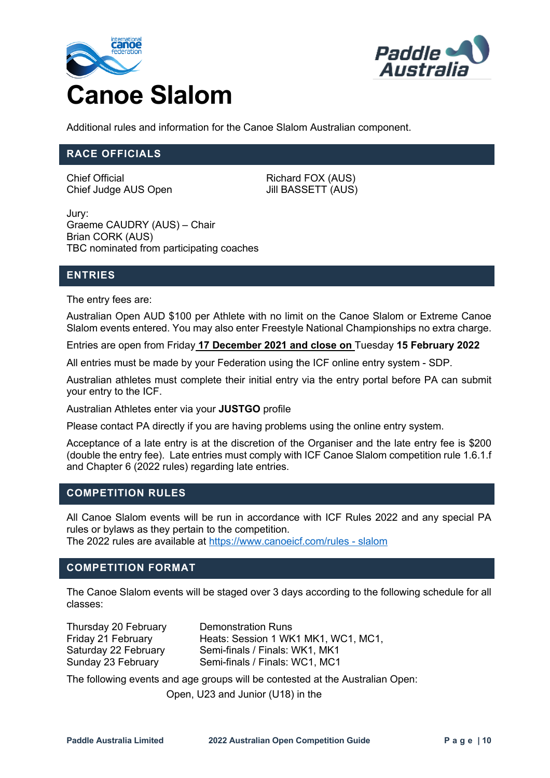



Additional rules and information for the Canoe Slalom Australian component.

### **RACE OFFICIALS**

Chief Official Richard FOX (AUS) Chief Judge AUS Open Jill BASSETT (AUS)

Jury: Graeme CAUDRY (AUS) – Chair Brian CORK (AUS) TBC nominated from participating coaches

## **ENTRIES**

The entry fees are:

Australian Open AUD \$100 per Athlete with no limit on the Canoe Slalom or Extreme Canoe Slalom events entered. You may also enter Freestyle National Championships no extra charge.

Entries are open from Friday **17 December 2021 and close on** Tuesday **15 February 2022**

All entries must be made by your Federation using the ICF online entry system - SDP.

Australian athletes must complete their initial entry via the entry portal before PA can submit your entry to the ICF.

Australian Athletes enter via your **JUSTGO** profile

Please contact PA directly if you are having problems using the online entry system.

Acceptance of a late entry is at the discretion of the Organiser and the late entry fee is \$200 (double the entry fee). Late entries must comply with ICF Canoe Slalom competition rule 1.6.1.f and Chapter 6 (2022 rules) regarding late entries.

#### **COMPETITION RULES**

All Canoe Slalom events will be run in accordance with ICF Rules 2022 and any special PA rules or bylaws as they pertain to the competition. The 2022 rules are available at https://www.canoeicf.com/rules - slalom

#### **COMPETITION FORMAT**

The Canoe Slalom events will be staged over 3 days according to the following schedule for all classes:

Thursday 20 February Demonstration Runs

Friday 21 February Heats: Session 1 WK1 MK1, WC1, MC1, Saturday 22 February Semi-finals / Finals: WK1, MK1 Sunday 23 February Semi-finals / Finals: WC1, MC1

The following events and age groups will be contested at the Australian Open: Open, U23 and Junior (U18) in the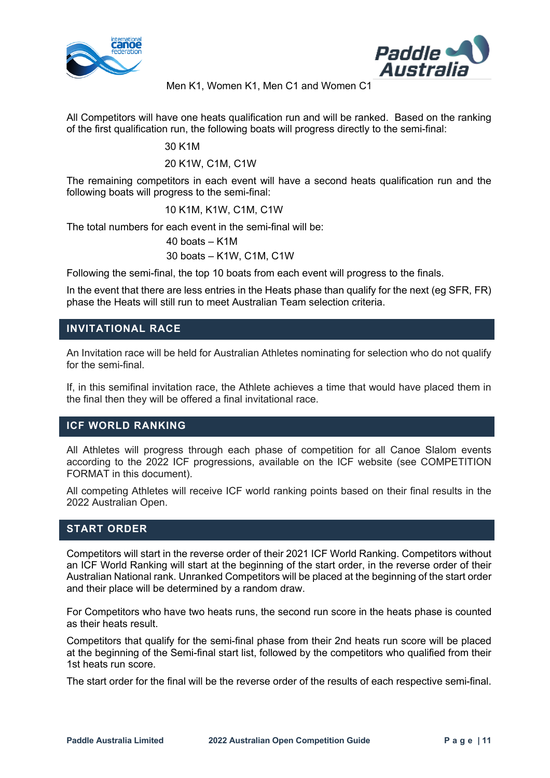



Men K1, Women K1, Men C1 and Women C1

All Competitors will have one heats qualification run and will be ranked. Based on the ranking of the first qualification run, the following boats will progress directly to the semi-final:

## 30 K1M

20 K1W, C1M, C1W

The remaining competitors in each event will have a second heats qualification run and the following boats will progress to the semi-final:

10 K1M, K1W, C1M, C1W

The total numbers for each event in the semi-final will be:

40 boats – K1M

30 boats – K1W, C1M, C1W

Following the semi-final, the top 10 boats from each event will progress to the finals.

In the event that there are less entries in the Heats phase than qualify for the next (eg SFR, FR) phase the Heats will still run to meet Australian Team selection criteria.

## **INVITATIONAL RACE**

An Invitation race will be held for Australian Athletes nominating for selection who do not qualify for the semi-final.

If, in this semifinal invitation race, the Athlete achieves a time that would have placed them in the final then they will be offered a final invitational race.

## **ICF WORLD RANKING**

All Athletes will progress through each phase of competition for all Canoe Slalom events according to the 2022 ICF progressions, available on the ICF website (see COMPETITION FORMAT in this document).

All competing Athletes will receive ICF world ranking points based on their final results in the 2022 Australian Open.

# **START ORDER**

Competitors will start in the reverse order of their 2021 ICF World Ranking. Competitors without an ICF World Ranking will start at the beginning of the start order, in the reverse order of their Australian National rank. Unranked Competitors will be placed at the beginning of the start order and their place will be determined by a random draw.

For Competitors who have two heats runs, the second run score in the heats phase is counted as their heats result.

Competitors that qualify for the semi-final phase from their 2nd heats run score will be placed at the beginning of the Semi-final start list, followed by the competitors who qualified from their 1st heats run score.

The start order for the final will be the reverse order of the results of each respective semi-final.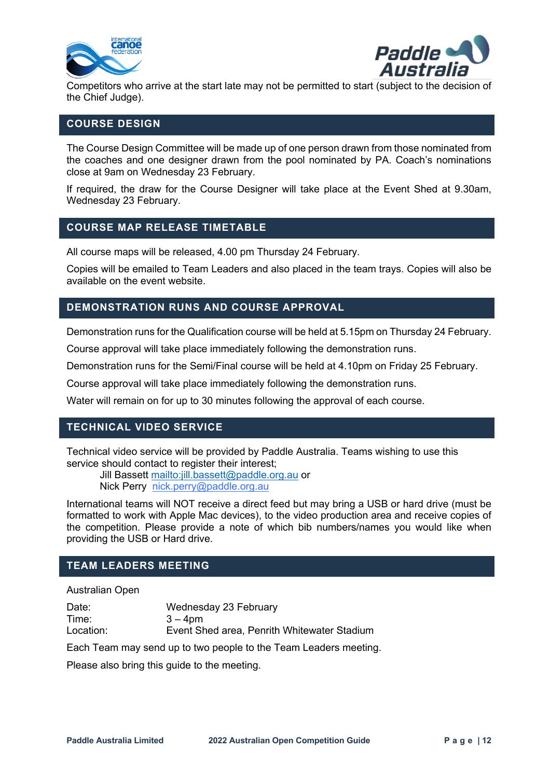



Competitors who arrive at the start late may not be permitted to start (subject to the decision of the Chief Judge).

# **COURSE DESIGN**

The Course Design Committee will be made up of one person drawn from those nominated from the coaches and one designer drawn from the pool nominated by PA. Coach's nominations close at 9am on Wednesday 23 February.

If required, the draw for the Course Designer will take place at the Event Shed at 9.30am, Wednesday 23 February.

## **COURSE MAP RELEASE TIMETABLE**

All course maps will be released, 4.00 pm Thursday 24 February.

Copies will be emailed to Team Leaders and also placed in the team trays. Copies will also be available on the event website.

## **DEMONSTRATION RUNS AND COURSE APPROVAL**

Demonstration runs for the Qualification course will be held at 5.15pm on Thursday 24 February.

Course approval will take place immediately following the demonstration runs.

Demonstration runs for the Semi/Final course will be held at 4.10pm on Friday 25 February.

Course approval will take place immediately following the demonstration runs.

Water will remain on for up to 30 minutes following the approval of each course.

## **TECHNICAL VIDEO SERVICE**

Technical video service will be provided by Paddle Australia. Teams wishing to use this service should contact to register their interest;

Jill Bassett mailto:jill.bassett@paddle.org.au or Nick Perry nick.perry@paddle.org.au

International teams will NOT receive a direct feed but may bring a USB or hard drive (must be formatted to work with Apple Mac devices), to the video production area and receive copies of the competition. Please provide a note of which bib numbers/names you would like when providing the USB or Hard drive.

## **TEAM LEADERS MEETING**

Australian Open

| Date:     | Wednesday 23 February                       |
|-----------|---------------------------------------------|
| Time:     | $3 - 4$ pm                                  |
| Location: | Event Shed area, Penrith Whitewater Stadium |

Each Team may send up to two people to the Team Leaders meeting.

Please also bring this guide to the meeting.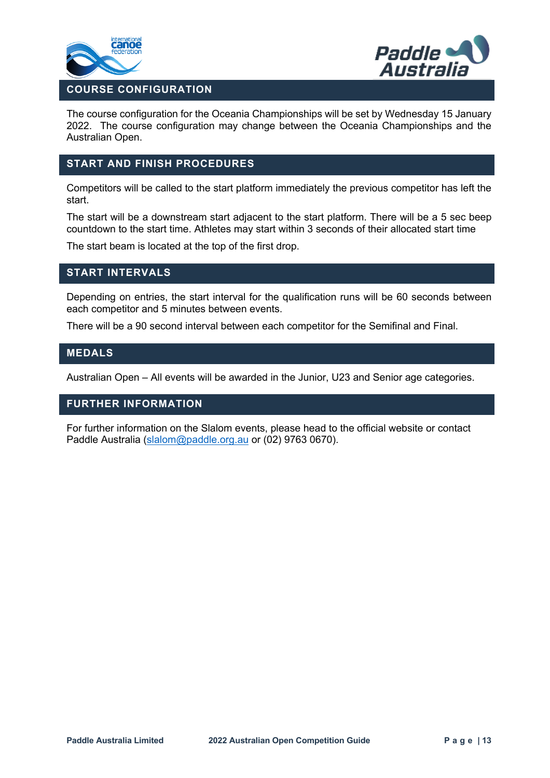



## **COURSE CONFIGURATION**

The course configuration for the Oceania Championships will be set by Wednesday 15 January 2022. The course configuration may change between the Oceania Championships and the Australian Open.

# **START AND FINISH PROCEDURES**

Competitors will be called to the start platform immediately the previous competitor has left the start.

The start will be a downstream start adjacent to the start platform. There will be a 5 sec beep countdown to the start time. Athletes may start within 3 seconds of their allocated start time

The start beam is located at the top of the first drop.

## **START INTERVALS**

Depending on entries, the start interval for the qualification runs will be 60 seconds between each competitor and 5 minutes between events.

There will be a 90 second interval between each competitor for the Semifinal and Final.

## **MEDALS**

Australian Open – All events will be awarded in the Junior, U23 and Senior age categories.

# **FURTHER INFORMATION**

For further information on the Slalom events, please head to the official website or contact Paddle Australia (slalom@paddle.org.au or (02) 9763 0670).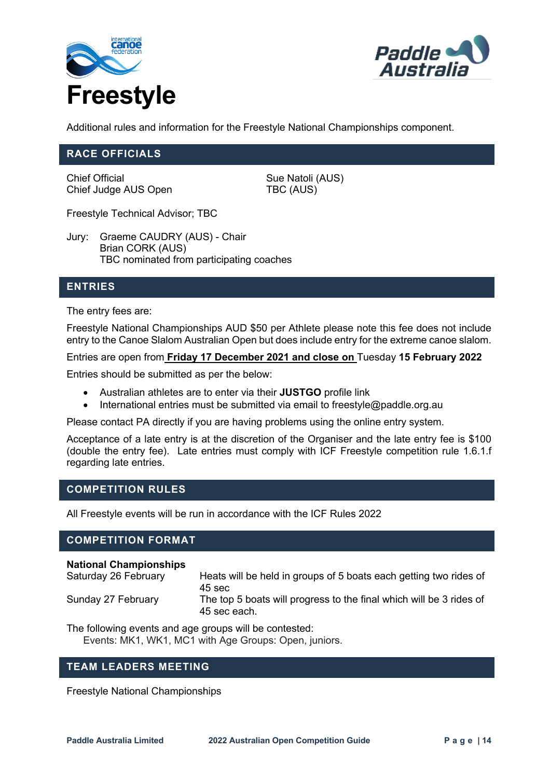



Additional rules and information for the Freestyle National Championships component.

#### **RACE OFFICIALS**

Chief Official Sue Natoli (AUS) Chief Judge AUS Open TBC (AUS)

Freestyle Technical Advisor; TBC

Jury: Graeme CAUDRY (AUS) - Chair Brian CORK (AUS) TBC nominated from participating coaches

#### **ENTRIES**

The entry fees are:

Freestyle National Championships AUD \$50 per Athlete please note this fee does not include entry to the Canoe Slalom Australian Open but does include entry for the extreme canoe slalom.

Entries are open from **Friday 17 December 2021 and close on** Tuesday **15 February 2022**

Entries should be submitted as per the below:

- Australian athletes are to enter via their **JUSTGO** profile link
- International entries must be submitted via email to freestyle@paddle.org.au

Please contact PA directly if you are having problems using the online entry system.

Acceptance of a late entry is at the discretion of the Organiser and the late entry fee is \$100 (double the entry fee). Late entries must comply with ICF Freestyle competition rule 1.6.1.f regarding late entries.

#### **COMPETITION RULES**

All Freestyle events will be run in accordance with the ICF Rules 2022

## **COMPETITION FORMAT**

#### **National Championships**

| Saturday 26 February | Heats will be held in groups of 5 boats each getting two rides of<br>45 sec         |
|----------------------|-------------------------------------------------------------------------------------|
| Sunday 27 February   | The top 5 boats will progress to the final which will be 3 rides of<br>45 sec each. |

The following events and age groups will be contested: Events: MK1, WK1, MC1 with Age Groups: Open, juniors.

## **TEAM LEADERS MEETING**

Freestyle National Championships